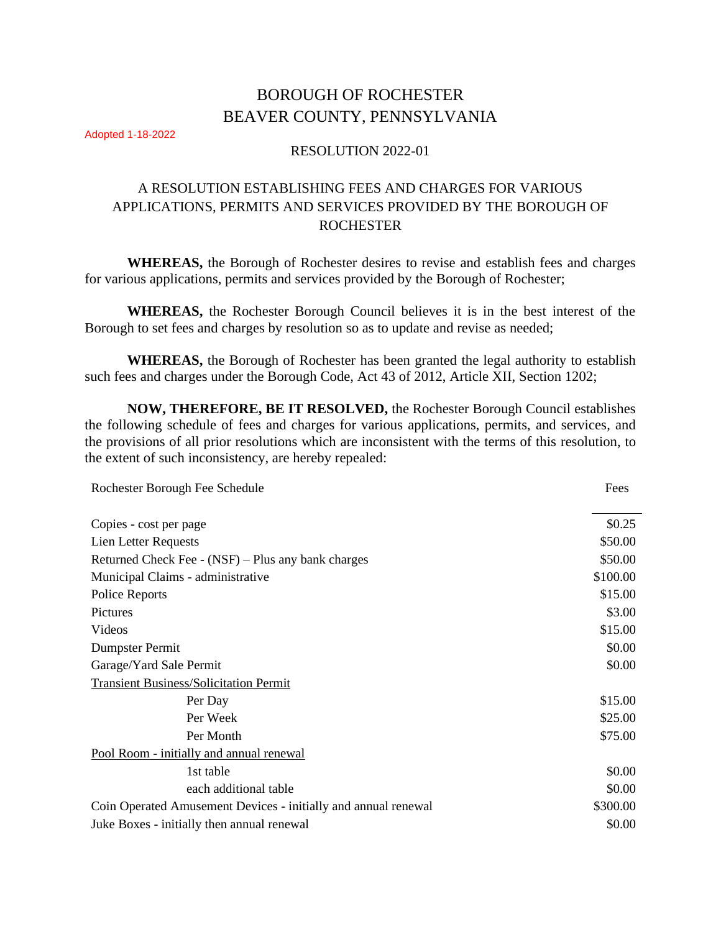# BOROUGH OF ROCHESTER BEAVER COUNTY, PENNSYLVANIA

Adopted 1-18-2022

## RESOLUTION 2022-01

## A RESOLUTION ESTABLISHING FEES AND CHARGES FOR VARIOUS APPLICATIONS, PERMITS AND SERVICES PROVIDED BY THE BOROUGH OF ROCHESTER

**WHEREAS,** the Borough of Rochester desires to revise and establish fees and charges for various applications, permits and services provided by the Borough of Rochester;

**WHEREAS,** the Rochester Borough Council believes it is in the best interest of the Borough to set fees and charges by resolution so as to update and revise as needed;

**WHEREAS,** the Borough of Rochester has been granted the legal authority to establish such fees and charges under the Borough Code, Act 43 of 2012, Article XII, Section 1202;

**NOW, THEREFORE, BE IT RESOLVED,** the Rochester Borough Council establishes the following schedule of fees and charges for various applications, permits, and services, and the provisions of all prior resolutions which are inconsistent with the terms of this resolution, to the extent of such inconsistency, are hereby repealed:

| Rochester Borough Fee Schedule                                 | Fees     |
|----------------------------------------------------------------|----------|
| Copies - cost per page                                         | \$0.25   |
| Lien Letter Requests                                           | \$50.00  |
| Returned Check Fee - (NSF) – Plus any bank charges             | \$50.00  |
| Municipal Claims - administrative                              | \$100.00 |
| Police Reports                                                 | \$15.00  |
| Pictures                                                       | \$3.00   |
| Videos                                                         | \$15.00  |
| Dumpster Permit                                                | \$0.00   |
| Garage/Yard Sale Permit                                        | \$0.00   |
| <b>Transient Business/Solicitation Permit</b>                  |          |
| Per Day                                                        | \$15.00  |
| Per Week                                                       | \$25.00  |
| Per Month                                                      | \$75.00  |
| Pool Room - initially and annual renewal                       |          |
| 1st table                                                      | \$0.00   |
| each additional table                                          | \$0.00   |
| Coin Operated Amusement Devices - initially and annual renewal | \$300.00 |
| Juke Boxes - initially then annual renewal                     | \$0.00   |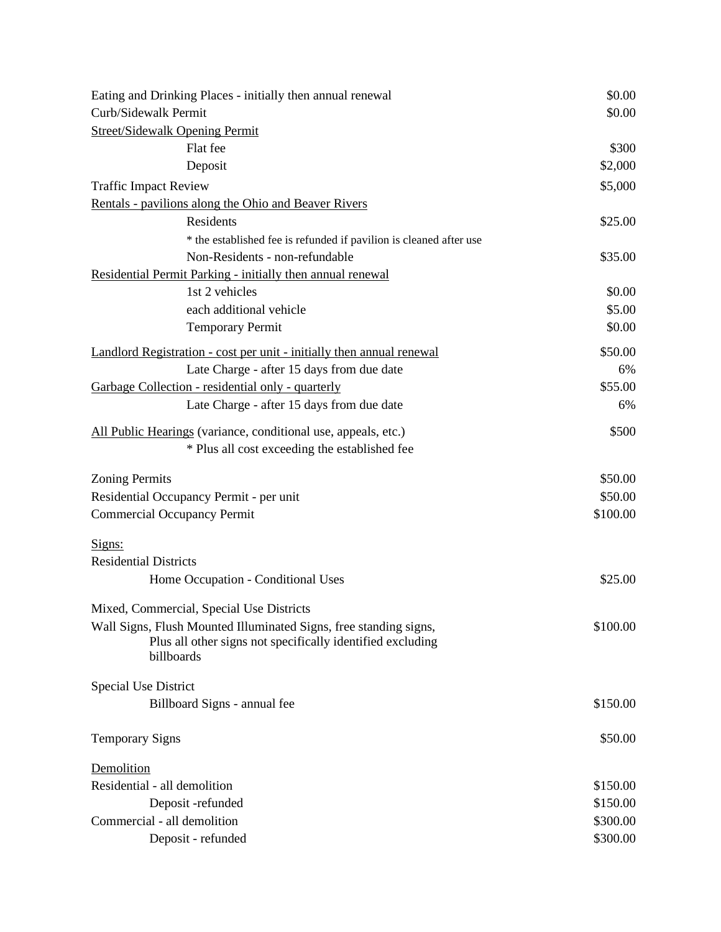| Eating and Drinking Places - initially then annual renewal                                                                      | \$0.00   |
|---------------------------------------------------------------------------------------------------------------------------------|----------|
| Curb/Sidewalk Permit                                                                                                            | \$0.00   |
| <b>Street/Sidewalk Opening Permit</b>                                                                                           |          |
| Flat fee                                                                                                                        | \$300    |
| Deposit                                                                                                                         | \$2,000  |
| <b>Traffic Impact Review</b>                                                                                                    | \$5,000  |
| Rentals - pavilions along the Ohio and Beaver Rivers                                                                            |          |
| Residents                                                                                                                       | \$25.00  |
| * the established fee is refunded if pavilion is cleaned after use                                                              |          |
| Non-Residents - non-refundable                                                                                                  | \$35.00  |
| Residential Permit Parking - initially then annual renewal                                                                      |          |
| 1st 2 vehicles                                                                                                                  | \$0.00   |
| each additional vehicle                                                                                                         | \$5.00   |
| <b>Temporary Permit</b>                                                                                                         | \$0.00   |
| Landlord Registration - cost per unit - initially then annual renewal                                                           | \$50.00  |
| Late Charge - after 15 days from due date                                                                                       | 6%       |
| Garbage Collection - residential only - quarterly                                                                               | \$55.00  |
| Late Charge - after 15 days from due date                                                                                       | 6%       |
| All Public Hearings (variance, conditional use, appeals, etc.)                                                                  | \$500    |
| * Plus all cost exceeding the established fee                                                                                   |          |
| <b>Zoning Permits</b>                                                                                                           | \$50.00  |
| Residential Occupancy Permit - per unit                                                                                         | \$50.00  |
| <b>Commercial Occupancy Permit</b>                                                                                              | \$100.00 |
| Signs:                                                                                                                          |          |
| <b>Residential Districts</b>                                                                                                    |          |
| Home Occupation - Conditional Uses                                                                                              | \$25.00  |
| Mixed, Commercial, Special Use Districts                                                                                        |          |
| Wall Signs, Flush Mounted Illuminated Signs, free standing signs,<br>Plus all other signs not specifically identified excluding | \$100.00 |
| billboards                                                                                                                      |          |
| <b>Special Use District</b>                                                                                                     |          |
| Billboard Signs - annual fee                                                                                                    | \$150.00 |
| <b>Temporary Signs</b>                                                                                                          | \$50.00  |
| Demolition                                                                                                                      |          |
| Residential - all demolition                                                                                                    | \$150.00 |
| Deposit -refunded                                                                                                               | \$150.00 |
| Commercial - all demolition                                                                                                     | \$300.00 |
| Deposit - refunded                                                                                                              | \$300.00 |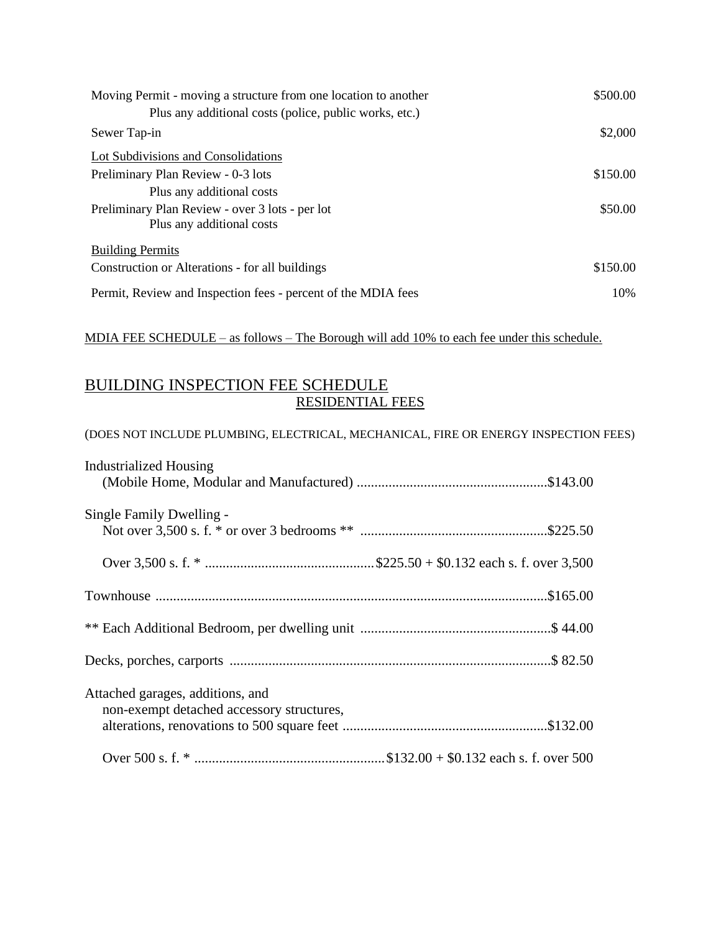| Moving Permit - moving a structure from one location to another<br>Plus any additional costs (police, public works, etc.) | \$500.00 |
|---------------------------------------------------------------------------------------------------------------------------|----------|
| Sewer Tap-in                                                                                                              | \$2,000  |
| Lot Subdivisions and Consolidations                                                                                       |          |
| Preliminary Plan Review - 0-3 lots                                                                                        | \$150.00 |
| Plus any additional costs                                                                                                 |          |
| Preliminary Plan Review - over 3 lots - per lot<br>Plus any additional costs                                              | \$50.00  |
| <b>Building Permits</b>                                                                                                   |          |
| Construction or Alterations - for all buildings                                                                           | \$150.00 |
| Permit, Review and Inspection fees - percent of the MDIA fees                                                             | 10%      |

## MDIA FEE SCHEDULE – as follows – The Borough will add 10% to each fee under this schedule.

## BUILDING INSPECTION FEE SCHEDULE RESIDENTIAL FEES

## (DOES NOT INCLUDE PLUMBING, ELECTRICAL, MECHANICAL, FIRE OR ENERGY INSPECTION FEES)

| <b>Industrialized Housing</b>             |
|-------------------------------------------|
|                                           |
| Single Family Dwelling -                  |
|                                           |
|                                           |
|                                           |
|                                           |
|                                           |
| Attached garages, additions, and          |
| non-exempt detached accessory structures, |
|                                           |
|                                           |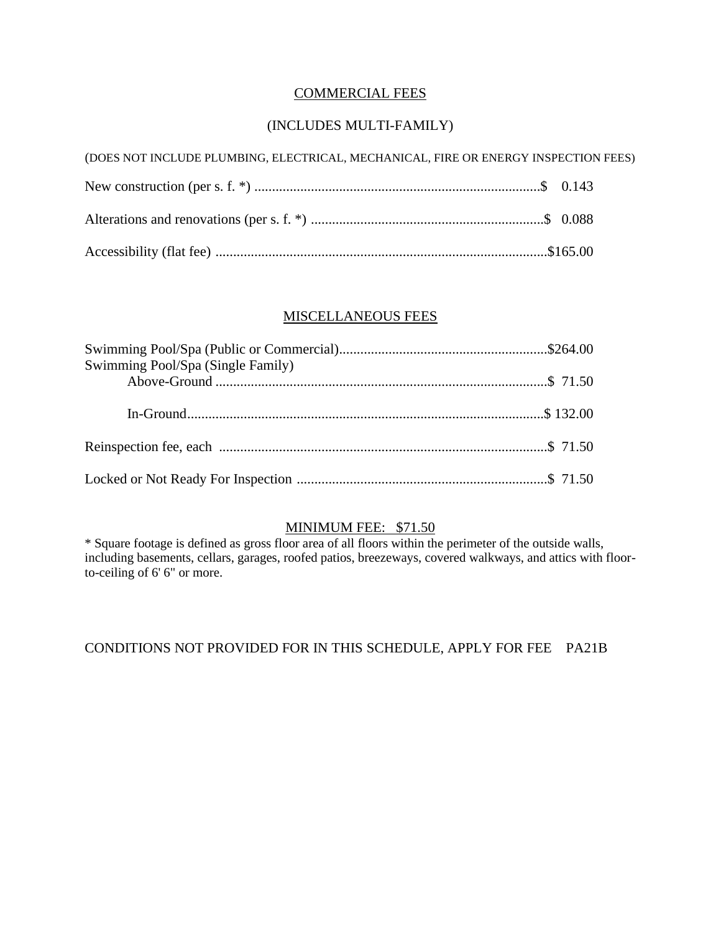## COMMERCIAL FEES

## (INCLUDES MULTI-FAMILY)

| (DOES NOT INCLUDE PLUMBING, ELECTRICAL, MECHANICAL, FIRE OR ENERGY INSPECTION FEES) |  |
|-------------------------------------------------------------------------------------|--|
|                                                                                     |  |
|                                                                                     |  |
|                                                                                     |  |

## MISCELLANEOUS FEES

| Swimming Pool/Spa (Single Family) |  |
|-----------------------------------|--|
|                                   |  |
|                                   |  |
|                                   |  |
|                                   |  |

## MINIMUM FEE: \$71.50

\* Square footage is defined as gross floor area of all floors within the perimeter of the outside walls, including basements, cellars, garages, roofed patios, breezeways, covered walkways, and attics with floorto-ceiling of 6' 6" or more.

## CONDITIONS NOT PROVIDED FOR IN THIS SCHEDULE, APPLY FOR FEE PA21B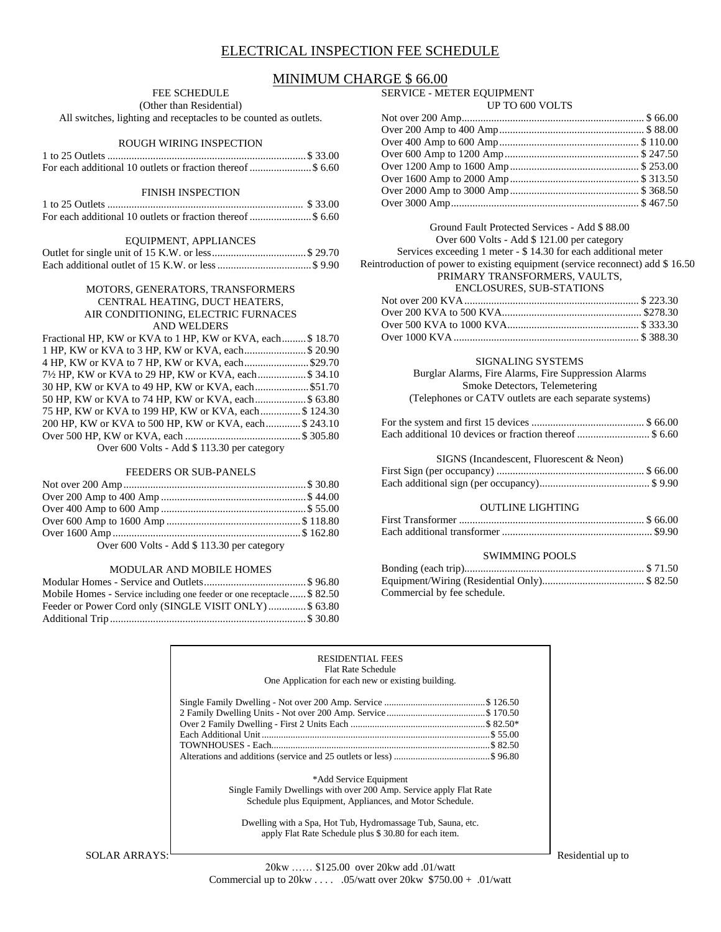### ELECTRICAL INSPECTION FEE SCHEDULE

### MINIMUM CHARGE \$ 66.00

#### FEE SCHEDULE

(Other than Residential)

All switches, lighting and receptacles to be counted as outlets.

#### ROUGH WIRING INSPECTION

#### FINISH INSPECTION

#### EQUIPMENT, APPLIANCES

#### MOTORS, GENERATORS, TRANSFORMERS CENTRAL HEATING, DUCT HEATERS, AIR CONDITIONING, ELECTRIC FURNACES AND WELDERS

| Fractional HP, KW or KVA to 1 HP, KW or KVA, each \$18.70 |  |
|-----------------------------------------------------------|--|
| 1 HP, KW or KVA to 3 HP, KW or KVA, each \$20.90          |  |
| 4 HP, KW or KVA to 7 HP, KW or KVA, each\$29.70           |  |
| 71/2 HP, KW or KVA to 29 HP, KW or KVA, each\$ 34.10      |  |
|                                                           |  |
| 50 HP, KW or KVA to 74 HP, KW or KVA, each \$ 63.80       |  |
| 75 HP, KW or KVA to 199 HP, KW or KVA, each \$124.30      |  |
| 200 HP, KW or KVA to 500 HP, KW or KVA, each \$243.10     |  |
|                                                           |  |
| Over 600 Volts - Add \$ 113.30 per category               |  |

#### FEEDERS OR SUB-PANELS

Over 600 Volts - Add \$ 113.30 per category

#### MODULAR AND MOBILE HOMES

| Mobile Homes - Service including one feeder or one receptacle \$82.50 |  |
|-----------------------------------------------------------------------|--|
| Feeder or Power Cord only (SINGLE VISIT ONLY)\$ 63.80                 |  |
|                                                                       |  |

## SERVICE - METER EQUIPMENT

### UP TO 600 VOLTS

Ground Fault Protected Services - Add \$ 88.00 Over 600 Volts - Add \$ 121.00 per category Services exceeding 1 meter - \$ 14.30 for each additional meter Reintroduction of power to existing equipment (service reconnect) add \$ 16.50 PRIMARY TRANSFORMERS, VAULTS, ENCLOSURES, SUB-STATIONS

#### SIGNALING SYSTEMS

Burglar Alarms, Fire Alarms, Fire Suppression Alarms Smoke Detectors, Telemetering (Telephones or CATV outlets are each separate systems)

| Each additional 10 devices or fraction thereof  \$ 6.60 |  |
|---------------------------------------------------------|--|

#### SIGNS (Incandescent, Fluorescent & Neon)

#### OUTLINE LIGHTING

#### SWIMMING POOLS

| Commercial by fee schedule. |  |
|-----------------------------|--|

#### RESIDENTIAL FEES Flat Rate Schedule

One Application for each new or existing building.

| *Add Service Equipment                                             |  |
|--------------------------------------------------------------------|--|
| Single Family Dwellings with over 200 Amp. Service apply Flat Rate |  |
| Schedule plus Equipment, Appliances, and Motor Schedule.           |  |

Dwelling with a Spa, Hot Tub, Hydromassage Tub, Sauna, etc. apply Flat Rate Schedule plus \$ 30.80 for each item.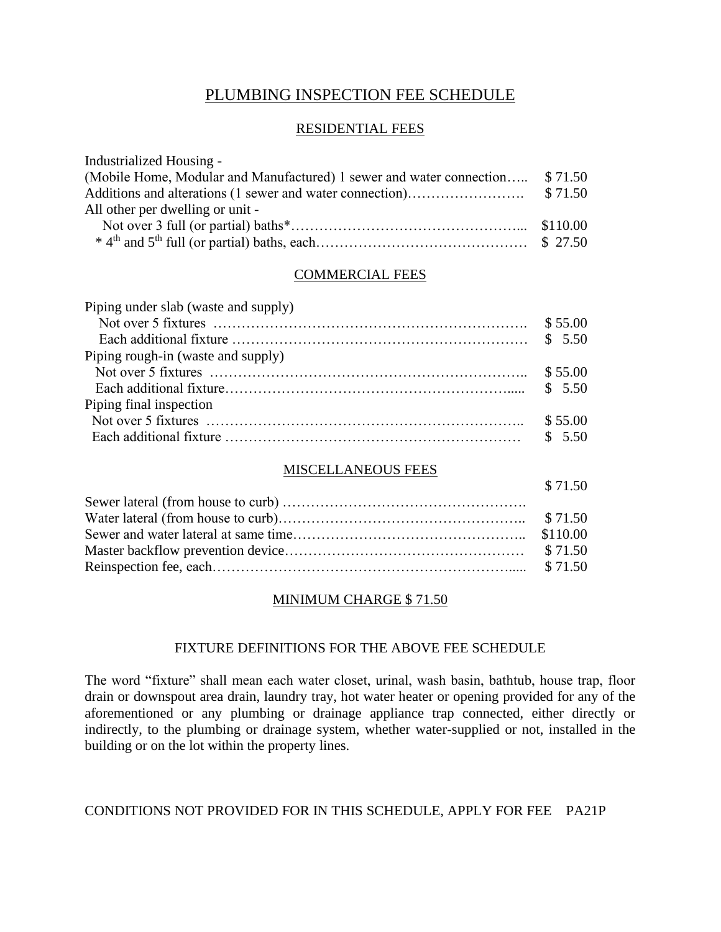## PLUMBING INSPECTION FEE SCHEDULE

### RESIDENTIAL FEES

| Industrialized Housing -                                                     |  |
|------------------------------------------------------------------------------|--|
| (Mobile Home, Modular and Manufactured) 1 sewer and water connection \$71.50 |  |
|                                                                              |  |
| All other per dwelling or unit -                                             |  |
|                                                                              |  |
|                                                                              |  |

### COMMERCIAL FEES

| Piping under slab (waste and supply) |         |
|--------------------------------------|---------|
|                                      |         |
|                                      |         |
| Piping rough-in (waste and supply)   |         |
|                                      |         |
|                                      |         |
| Piping final inspection              |         |
|                                      | \$55.00 |
|                                      |         |

### MISCELLANEOUS FEES

| \$71.50 |
|---------|
|         |
|         |
|         |
|         |
|         |

## MINIMUM CHARGE \$ 71.50

## FIXTURE DEFINITIONS FOR THE ABOVE FEE SCHEDULE

The word "fixture" shall mean each water closet, urinal, wash basin, bathtub, house trap, floor drain or downspout area drain, laundry tray, hot water heater or opening provided for any of the aforementioned or any plumbing or drainage appliance trap connected, either directly or indirectly, to the plumbing or drainage system, whether water-supplied or not, installed in the building or on the lot within the property lines.

### CONDITIONS NOT PROVIDED FOR IN THIS SCHEDULE, APPLY FOR FEE PA21P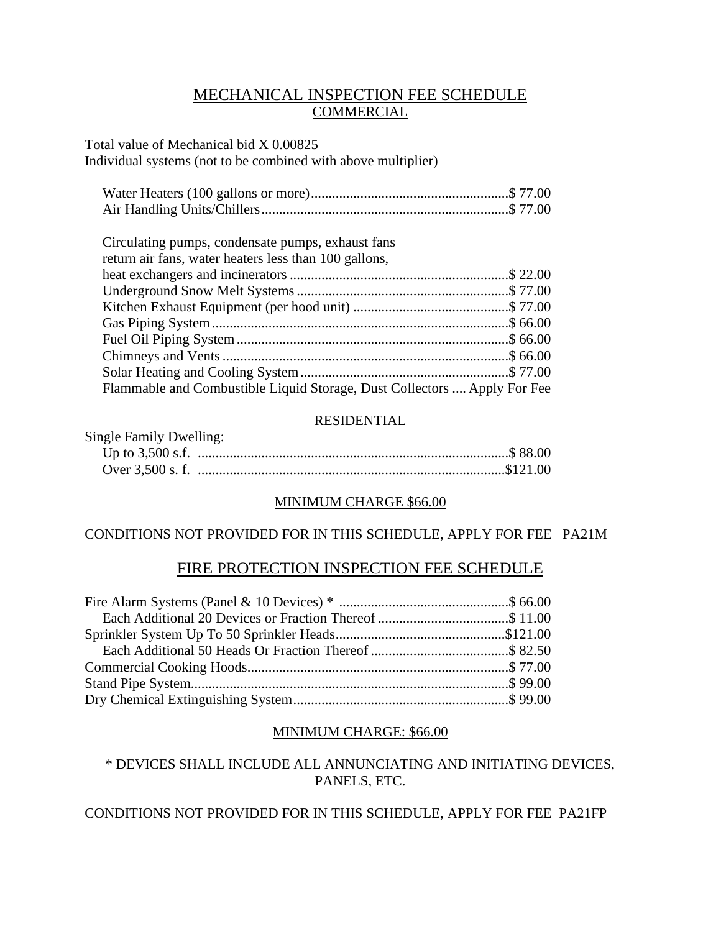## MECHANICAL INSPECTION FEE SCHEDULE **COMMERCIAL**

Total value of Mechanical bid X 0.00825 Individual systems (not to be combined with above multiplier)

| Circulating pumps, condensate pumps, exhaust fans                        |  |
|--------------------------------------------------------------------------|--|
| return air fans, water heaters less than 100 gallons,                    |  |
|                                                                          |  |
|                                                                          |  |
|                                                                          |  |
|                                                                          |  |
|                                                                          |  |
|                                                                          |  |
|                                                                          |  |
| Flammable and Combustible Liquid Storage, Dust Collectors  Apply For Fee |  |

## RESIDENTIAL

| Single Family Dwelling: |  |
|-------------------------|--|
|                         |  |
|                         |  |

### MINIMUM CHARGE \$66.00

## CONDITIONS NOT PROVIDED FOR IN THIS SCHEDULE, APPLY FOR FEE PA21M

## FIRE PROTECTION INSPECTION FEE SCHEDULE

### MINIMUM CHARGE: \$66.00

\* DEVICES SHALL INCLUDE ALL ANNUNCIATING AND INITIATING DEVICES, PANELS, ETC.

CONDITIONS NOT PROVIDED FOR IN THIS SCHEDULE, APPLY FOR FEE PA21FP